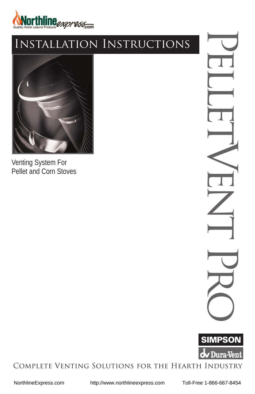

# Installation Instructions



Venting System For Pellet and Corn Stoves





#### COMPLETE VENTING SOLUTIONS FOR THE HEARTH INDUSTRY

[NorthlineExpress.com](http://www.northlineexpress.com) <http://www.northlineexpress.com> [Toll-Free 1-866-667-8454](http://www.northlineexpress.com)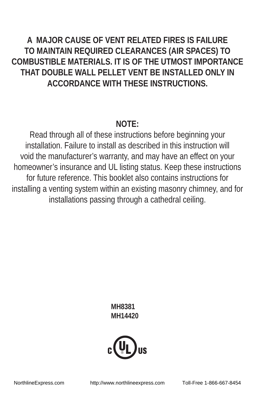# **A MAJOR CAUSE OF VENT RELATED FIRES IS FAILURE TO MAINTAIN REQUIRED CLEARANCES (AIR SPACES) TO COMBUSTIBLE MATERIALS. IT IS OF THE UTMOST IMPORTANCE THAT DOUBLE WALL PELLET VENT BE INSTALLED ONLY IN ACCORDANCE WITH THESE INSTRUCTIONS.**

## **NOTE:**

Read through all of these instructions before beginning your installation. Failure to install as described in this instruction will void the manufacturer's warranty, and may have an effect on your homeowner's insurance and UL listing status. Keep these instructions for future reference. This booklet also contains instructions for installing a venting system within an existing masonry chimney, and for installations passing through a cathedral ceiling.

> **MH8381 MH14420**

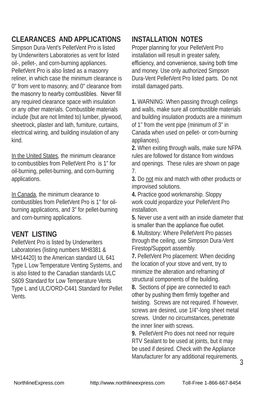#### **CLEARANCES AND APPLICATIONS**

Simpson Dura-Vent's PelletVent Pro is listed by Underwriters Laboratories as vent for listed oil-, pellet-, and corn-burning appliances. PelletVent Pro is also listed as a masonry reliner, in which case the minimum clearance is 0" from vent to masonry, and 0" clearance from the masonry to nearby combustibles. Never fill any required clearance space with insulation or any other materials. Combustible materials include (but are not limited to) lumber, plywood, sheetrock, plaster and lath, furniture, curtains, electrical wiring, and building insulation of any kind.

In the United States, the minimum clearance to combustibles from PelletVent Pro is 1" for oil-burning, pellet-burning, and corn-burning applications.

In Canada, the minimum clearance to combustibles from PelletVent Pro is 1" for oilburning applications, and 3" for pellet-burning and corn-burning applications.

#### **VENT LISTING**

PelletVent Pro is listed by Underwriters Laboratories (listing numbers MH8381 & MH14420) to the American standard UL 641 Type L Low Temperature Venting Systems, and is also listed to the Canadian standards ULC S609 Standard for Low Temperature Vents Type L and ULC/ORD-C441 Standard for Pellet Vents.

#### **INSTALLATION NOTES**

Proper planning for your PelletVent Pro installation will result in greater safety, efficiency, and convenience, saving both time and money. Use only authorized Simpson Dura-Vent PelletVent Pro listed parts. Do not install damaged parts.

**1.** WARNING: When passing through ceilings and walls, make sure all combustible materials and building insulation products are a minimum of 1" from the vent pipe (minimum of 3" in Canada when used on pellet- or corn-burning appliances).

**2.** When exiting through walls, make sure NFPA rules are followed for distance from windows and openings. These rules are shown on page 7.

**3.** Do not mix and match with other products or improvised solutions.

**4.** Practice good workmanship. Sloppy work could jeopardize your PelletVent Pro installation.

**5.** Never use a vent with an inside diameter that is smaller than the appliance flue outlet.

**6**. Multistory: Where PelletVent Pro passes through the ceiling, use Simpson Dura-Vent Firestop/Support assembly.

**7.** PelletVent Pro placement: When deciding the location of your stove and vent, try to minimize the alteration and reframing of structural components of the building.

**8.** Sections of pipe are connected to each other by pushing them firmly together and twisting. Screws are not required. If however, screws are desired, use 1/4"-long sheet metal screws. Under no circumstances, penetrate the inner liner with screws.

3 Manufacturer for any additional requirements. **9.** PelletVent Pro does not need nor require RTV Sealant to be used at joints, but it may be used if desired. Check with the Appliance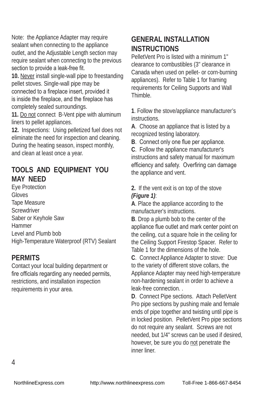Note: the Appliance Adapter may require sealant when connecting to the appliance outlet, and the Adjustable Length section may require sealant when connecting to the previous section to provide a leak-free fit.

**10.** Never install single-wall pipe to freestanding pellet stoves. Single-wall pipe may be connected to a fireplace insert, provided it is inside the fireplace, and the fireplace has completely sealed surroundings.

**11.** Do not connect B-Vent pipe with aluminum liners to pellet appliances.

**12.** Inspections: Using pelletized fuel does not eliminate the need for inspection and cleaning. During the heating season, inspect monthly, and clean at least once a year.

### **TOOLS AND EQUIPMENT YOU MAY NEED**

Eye Protection Gloves Tape Measure **Screwdriver** Saber or Keyhole Saw Hammer Level and Plumb bob High-Temperature Waterproof (RTV) Sealant

#### **PERMITS**

Contact your local building department or fire officials regarding any needed permits, restrictions, and installation inspection requirements in your area.

#### **GENERAL INSTALLATION INSTRUCTIONS**

PelletVent Pro is listed with a minimum 1" clearance to combustibles (3" clearance in Canada when used on pellet- or corn-burning appliances). Refer to Table 1 for framing requirements for Ceiling Supports and Wall Thimble.

**1**. Follow the stove/appliance manufacturer's instructions.

**A**. Choose an appliance that is listed by a recognized testing laboratory.

**B**. Connect only one flue per appliance.

**C**. Follow the appliance manufacturer's instructions and safety manual for maximum efficiency and safety. Overfiring can damage the appliance and vent.

**2.** If the vent exit is on top of the stove *(Figure 1)*:

**A**. Place the appliance according to the manufacturer's instructions.

**B**. Drop a plumb bob to the center of the appliance flue outlet and mark center point on the ceiling, cut a square hole in the ceiling for the Ceiling Support Firestop Spacer. Refer to Table 1 for the dimensions of the hole.

**C**. Connect Appliance Adapter to stove: Due to the variety of different stove collars, the Appliance Adapter may need high-temperature non-hardening sealant in order to achieve a leak-free connection. .

**D**. Connect Pipe sections. Attach PelletVent Pro pipe sections by pushing male and female ends of pipe together and twisting until pipe is in locked position. PelletVent Pro pipe sections do not require any sealant. Screws are not needed, but 1/4" screws can be used if desired, however, be sure you do not penetrate the inner liner.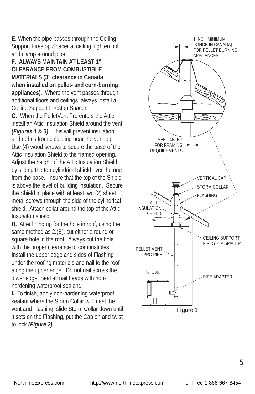**E**. When the pipe passes through the Ceiling Support Firestop Spacer at ceiling, tighten bolt and clamp around pipe.

**F**. **ALWAYS MAINTAIN AT LEAST 1" CLEARANCE FROM COMBUSTIBLE MATERIALS (3" clearance in Canada when installed on pellet- and corn-burning appliances).** Where the vent passes through additional floors and ceilings, always install a Ceiling Support Firestop Spacer.

**G.** When the PelletVent Pro enters the Attic, install an Attic Insulation Shield around the vent *(Figures 1 & 3)*. This will prevent insulation and debris from collecting near the vent pipe. Use (4) wood screws to secure the base of the Attic Insulation Shield to the framed opening. Adjust the height of the Attic Insulation Shield by sliding the top cylindrical shield over the one from the base. Insure that the top of the Shield is above the level of building insulation. Secure the Shield in place with at least two (2) sheet metal screws through the side of the cylindrical shield. Attach collar around the top of the Attic Insulaiton shield.

**H.** After lining up for the hole in roof, using the same method as 2.(B), cut either a round or square hole in the roof. Always cut the hole with the proper clearance to combustibles. Install the upper edge and sides of Flashing under the roofing materials and nail to the roof along the upper edge. Do not nail across the lower edge. Seal all nail heads with nonhardening waterproof sealant.

**I.** To finish, apply non-hardening waterproof sealant where the Storm Collar will meet the vent and Flashing; slide Storm Collar down until it sets on the Flashing, put the Cap on and twist to lock *(Figure 2)*.

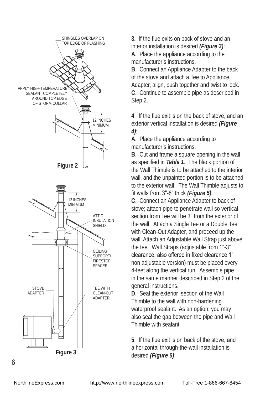

**3.** If the flue exits on back of stove and an interior installation is desired *(Figure 3)*: **A**. Place the appliance according to the manufacturer's instructions.

**B**. Connect an Appliance Adapter to the back of the stove and attach a Tee to Appliance Adapter, align, push together and twist to lock. **C**. Continue to assemble pipe as described in Step 2.

**4**. If the flue exit is on the back of stove, and an exterior vertical installation is desired *(Figure 4)*:

**A**. Place the appliance according to manufacturer's instructions.

**B**. Cut and frame a square opening in the wall as specified in *Table 1*. The black portion of the Wall Thimble is to be attached to the interior wall, and the unpainted portion is to be attached to the exterior wall. The Wall Thimble adjusts to fit walls from 3"-8" thick *(Figure 5)*.

**C**. Connect an Appliance Adapter to back of stove; attach pipe to penetrate wall so vertical section from Tee will be 3" from the exterior of the wall. Attach a Single Tee or a Double Tee with Clean-Out Adapter, and proceed up the wall. Attach an Adjustable Wall Strap just above the tee. Wall Straps (adjustable from 1"-3" clearance, also offered in fixed clearance 1" non adjustable version) must be placed every 4-feet along the vertical run. Assemble pipe in the same manner described in Step 2 of the general instructions.

**D**. Seal the exterior section of the Wall Thimble to the wall with non-hardening waterproof sealant. As an option, you may also seal the gap between the pipe and Wall Thimble with sealant.

**5**. If the flue exit is on back of the stove, and a horizontal through-the-wall installation is desired *(Figure 6)*: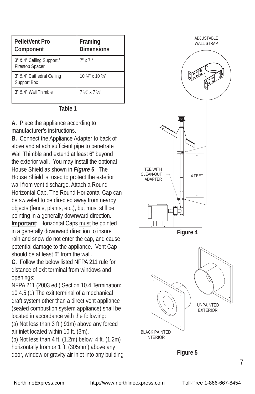| PelletVent Pro<br>Component                         | Framing<br><b>Dimensions</b>       |
|-----------------------------------------------------|------------------------------------|
| 3" & 4" Ceiling Support /<br><b>Firestop Spacer</b> | $7''$ x $7''$                      |
| 3" & 4" Cathedral Ceiling<br>Support Box            | 10 3/4" x 10 3/4"                  |
| 3" & 4" Wall Thimble                                | $7\frac{1}{2}$ 's $7\frac{1}{2}$ " |

**Table 1**

**A.** Place the appliance according to manufacturer's instructions.

**B.** Connect the Appliance Adapter to back of stove and attach sufficient pipe to penetrate Wall Thimble and extend at least 6" beyond the exterior wall. You may install the optional House Shield as shown in *Figure 6*. The House Shield is used to protect the exterior wall from vent discharge. Attach a Round Horizontal Cap. The Round Horizontal Cap can be swiveled to be directed away from nearby objects (fence, plants, etc.), but must still be pointing in a generally downward direction. **Important**: Horizontal Caps must be pointed in a generally downward direction to insure rain and snow do not enter the cap, and cause potential damage to the appliance. Vent Cap should be at least 6" from the wall.

**C.** Follow the below listed NFPA 211 rule for distance of exit terminal from windows and openings:

NFPA 211 (2003 ed.) Section 10.4 Termination: 10.4.5 (1) The exit terminal of a mechanical draft system other than a direct vent appliance (sealed combustion system appliance) shall be located in accordance with the following:

(a) Not less than 3 ft (.91m) above any forced air inlet located within 10 ft. (3m).

(b) Not less than 4 ft. (1.2m) below, 4 ft. (1.2m) horizontally from or 1 ft. (305mm) above any door, window or gravity air inlet into any building



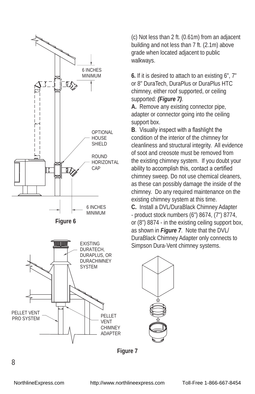

(c) Not less than 2 ft. (0.61m) from an adjacent building and not less than 7 ft. (2.1m) above grade when located adjacent to public walkways.

**6.** If it is desired to attach to an existing 6", 7" or 8" DuraTech, DuraPlus or DuraPlus HTC chimney, either roof supported, or ceiling supported: *(Figure 7)*.

**A.** Remove any existing connector pipe, adapter or connector going into the ceiling support box.

**B**. Visually inspect with a flashlight the condition of the interior of the chimney for cleanliness and structural integrity. All evidence of soot and creosote must be removed from the existing chimney system. If you doubt your ability to accomplish this, contact a certified chimney sweep. Do not use chemical cleaners, as these can possibly damage the inside of the chimney. Do any required maintenance on the existing chimney system at this time. **C.** Install a DVL/DuraBlack Chimney Adapter - product stock numbers (6") 8674, (7") 8774, or (8") 8874 - in the existing ceiling support box, as shown in *Figure 7*. Note that the DVL/ DuraBlack Chimney Adapter only connects to Simpson Dura-Vent chimney systems.



8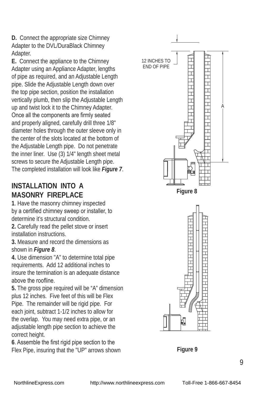**D.** Connect the appropriate size Chimney Adapter to the DVL/DuraBlack Chimney Adapter.

**E.** Connect the appliance to the Chimney Adapter using an Appliance Adapter, lengths of pipe as required, and an Adjustable Length pipe. Slide the Adjustable Length down over the top pipe section, position the installation vertically plumb, then slip the Adjustable Length up and twist lock it to the Chimney Adapter. Once all the components are firmly seated and properly aligned, carefully drill three 1/8" diameter holes through the outer sleeve only in the center of the slots located at the bottom of the Adjustable Length pipe. Do not penetrate the inner liner. Use (3) 1/4" length sheet metal screws to secure the Adjustable Length pipe. The completed installation will look like *Figure 7*.

#### **INSTALLATION INTO A MASONRY FIREPLACE**

**1**. Have the masonry chimney inspected by a certified chimney sweep or installer, to determine it's structural condition.

**2.** Carefully read the pellet stove or insert installation instructions.

**3.** Measure and record the dimensions as shown in *Figure 8*.

**4.** Use dimension "A" to determine total pipe requirements. Add 12 additional inches to insure the termination is an adequate distance above the roofline.

**5.** The gross pipe required will be "A" dimension plus 12 inches. Five feet of this will be Flex Pipe. The remainder will be rigid pipe. For each joint, subtract 1-1/2 inches to allow for the overlap. You may need extra pipe, or an adjustable length pipe section to achieve the correct height.

**6**. Assemble the first rigid pipe section to the Flex Pipe, insuring that the "UP" arrows shown





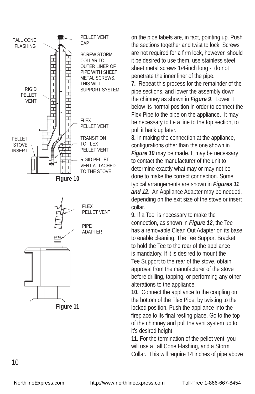

on the pipe labels are, in fact, pointing up. Push the sections together and twist to lock. Screws are not required for a firm lock, however, should it be desired to use them, use stainless steel sheet metal screws 1/4-inch long - do not penetrate the inner liner of the pipe.

**7.** Repeat this process for the remainder of the pipe sections, and lower the assembly down the chimney as shown in *Figure 9*. Lower it below its normal position in order to connect the Flex Pipe to the pipe on the appliance. It may be necessary to tie a line to the top section, to pull it back up later.

**8.** In making the connection at the appliance, configurations other than the one shown in *Figure 10* may be made. It may be necessary to contact the manufacturer of the unit to determine exactly what may or may not be done to make the correct connection. Some typical arrangements are shown in *Figures 11 and 12*. An Appliance Adapter may be needed, depending on the exit size of the stove or insert collar.

**9.** If a Tee is necessary to make the connection, as shown in *Figure 12*, the Tee has a removable Clean Out Adapter on its base to enable cleaning. The Tee Support Bracket to hold the Tee to the rear of the appliance is mandatory. If it is desired to mount the Tee Support to the rear of the stove, obtain approval from the manufacturer of the stove before drilling, tapping, or performing any other alterations to the appliance.

**10.** Connect the appliance to the coupling on the bottom of the Flex Pipe, by twisting to the locked position. Push the appliance into the fireplace to its final resting place. Go to the top of the chimney and pull the vent system up to it's desired height.

**11.** For the termination of the pellet vent, you will use a Tall Cone Flashing, and a Storm Collar. This will require 14 inches of pipe above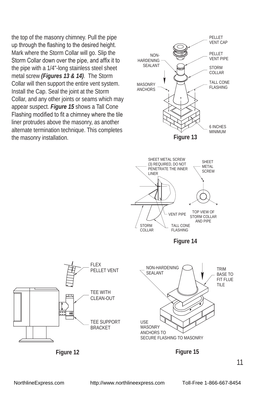the top of the masonry chimney. Pull the pipe up through the flashing to the desired height. Mark where the Storm Collar will go. Slip the Storm Collar down over the pipe, and affix it to the pipe with a 1/4"-long stainless steel sheet metal screw *(Figures 13 & 14)*. The Storm Collar will then support the entire vent system. Install the Cap. Seal the joint at the Storm Collar, and any other joints or seams which may appear suspect. *Figure 15* shows a Tall Cone Flashing modified to fit a chimney where the tile liner protrudes above the masonry, as another alternate termination technique. This completes the masonry installation.







**Figure 12**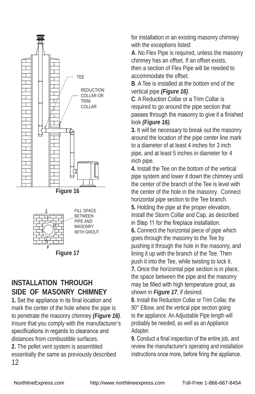



BETWEEN PIPE AND MASONRY WITH GROUT

**Figure 17**

### **INSTALLATION THROUGH SIDE OF MASONRY CHIMNEY**

**1.** Set the appliance in its final location and mark the center of the hole where the pipe is to penetrate the masonry chimney *(Figure 16)*. Insure that you comply with the manufacturer's specifications in regards to clearance and distances from combustible surfaces. **2.** The pellet vent system is assembled essentially the same as previously described

for installation in an existing masonry chimney with the exceptions listed:

**A**. No Flex Pipe is required, unless the masonry chimney has an offset. If an offset exists, then a section of Flex Pipe will be needed to accommodate the offset.

**B**. A Tee is installed at the bottom end of the vertical pipe *(Figure 16)*.

**C**. A Reduction Collar or a Trim Collar is required to go around the pipe section that passes through the masonry to give it a finished look *(Figure 16)*.

**3.** It will be necessary to break out the masonry around the location of the pipe center line mark to a diameter of at least 4 inches for 3 inch pipe, and at least 5 inches in diameter for 4 inch pipe.

**4.** Install the Tee on the bottom of the vertical pipe system and lower it down the chimney until the center of the branch of the Tee is level with the center of the hole in the masonry. Connect horizontal pipe section to the Tee branch. **5.** Holding the pipe at the proper elevation, install the Storm Collar and Cap, as described in Step 11 for the fireplace installation. **6.** Connect the horizontal piece of pipe which goes through the masonry to the Tee by pushing it through the hole in the masonry, and lining it up with the branch of the Tee. Then push it into the Tee, while twisting to lock it. **7.** Once the horizontal pipe section is in place, the space between the pipe and the masonry may be filled with high temperature grout, as shown in *Figure 17*, if desired.

**8.** Install the Reduction Collar or Trim Collar, the 90° Elbow, and the vertical pipe section going to the appliance. An Adjustable Pipe length will probably be needed, as well as an Appliance Adapter.

**9.** Conduct a final inspection of the entire job, and review the manufacturer's operating and installation instructions once more, before firing the appliance.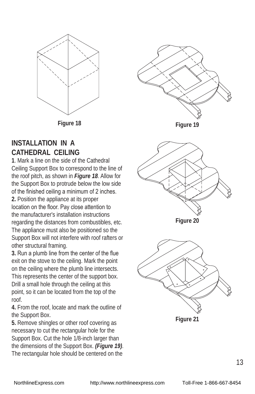

#### **INSTALLATION IN A CATHEDRAL CEILING**

**1**. Mark a line on the side of the Cathedral Ceiling Support Box to correspond to the line of the roof pitch, as shown in *Figure 18*. Allow for the Support Box to protrude below the low side of the finished ceiling a minimum of 2 inches. **2.** Position the appliance at its proper location on the floor. Pay close attention to the manufacturer's installation instructions regarding the distances from combustibles, etc. The appliance must also be positioned so the Support Box will not interfere with roof rafters or other structural framing.

**3.** Run a plumb line from the center of the flue exit on the stove to the ceiling. Mark the point on the ceiling where the plumb line intersects. This represents the center of the support box. Drill a small hole through the ceiling at this point, so it can be located from the top of the roof.

**4.** From the roof, locate and mark the outline of the Support Box.

**5.** Remove shingles or other roof covering as necessary to cut the rectangular hole for the Support Box. Cut the hole 1/8-inch larger than the dimensions of the Support Box. *(Figure 19)*. The rectangular hole should be centered on the







**Figure 20**



**Figure 21**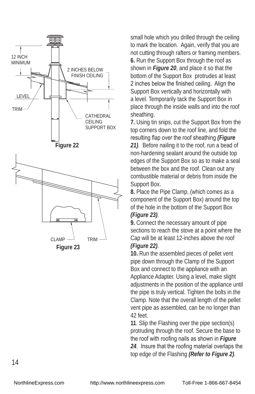

small hole which you drilled through the ceiling to mark the location. Again, verify that you are not cutting through rafters or framing members. **6.** Run the Support Box through the roof as shown in *Figure 20*, and place it so that the bottom of the Support Box protrudes at least 2 inches below the finished ceiling. Align the Support Box vertically and horizontally with a level. Temporarily tack the Support Box in place through the inside walls and into the roof sheathing.

**7.** Using tin snips, cut the Support Box from the top corners down to the roof line, and fold the resulting flap over the roof sheathing *(Figure 21)*. Before nailing it to the roof, run a bead of non-hardening sealant around the outside top edges of the Support Box so as to make a seal between the box and the roof. Clean out any combustible material or debris from inside the Support Box.

**8.** Place the Pipe Clamp, (which comes as a component of the Support Box) around the top of the hole in the bottom of the Support Box *(Figure 23)*.

**9.** Connect the necessary amount of pipe sections to reach the stove at a point where the Cap will be at least 12-inches above the roof *(Figure 22)*.

**10.** Run the assembled pieces of pellet vent pipe down through the Clamp of the Support Box and connect to the appliance with an Appliance Adapter. Using a level, make slight adjustments in the position of the appliance until the pipe is truly vertical. Tighten the bolts in the Clamp. Note that the overall length of the pellet vent pipe as assembled, can be no longer than 42 feet.

**11**. Slip the Flashing over the pipe section(s) protruding through the roof. Secure the base to the roof with roofing nails as shown in *Figure 24*. Insure that the roofing material overlaps the top edge of the Flashing *(Refer to Figure 2)*.

14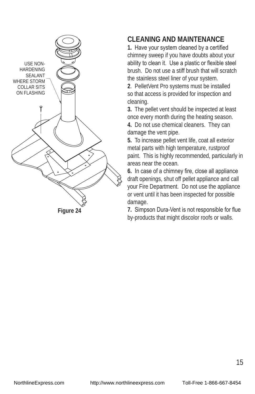

#### **CLEANING AND MAINTENANCE**

**1.** Have your system cleaned by a certified chimney sweep if you have doubts about your ability to clean it. Use a plastic or flexible steel brush. Do not use a stiff brush that will scratch the stainless steel liner of your system.

**2**. PelletVent Pro systems must be installed so that access is provided for inspection and cleaning.

**3.** The pellet vent should be inspected at least once every month during the heating season.

**4.** Do not use chemical cleaners. They can damage the vent pipe.

**5.** To increase pellet vent life, coat all exterior metal parts with high temperature, rustproof paint. This is highly recommended, particularly in areas near the ocean.

**6.** In case of a chimney fire, close all appliance draft openings, shut off pellet appliance and call your Fire Department. Do not use the appliance or vent until it has been inspected for possible damage.

**7.** Simpson Dura-Vent is not responsible for flue by-products that might discolor roofs or walls.